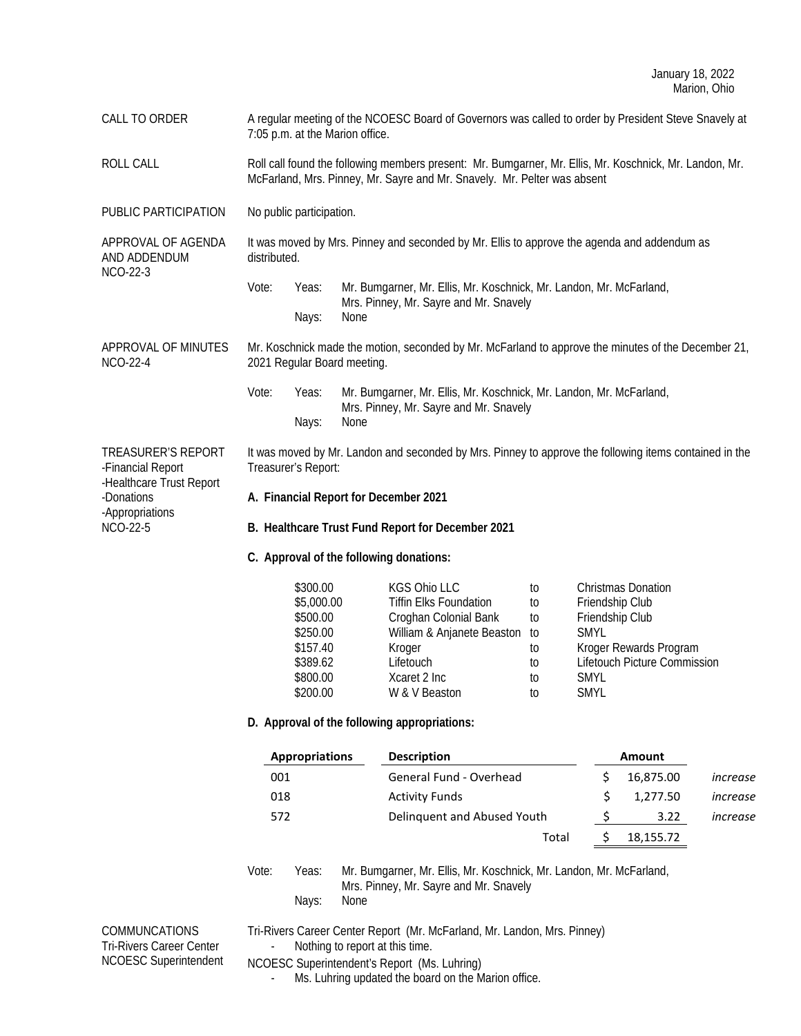CALL TO ORDER A regular meeting of the NCOESC Board of Governors was called to order by President Steve Snavely at 7:05 p.m. at the Marion office.

ROLL CALL CALL Roll call found the following members present: Mr. Bumgarner, Mr. Ellis, Mr. Koschnick, Mr. Landon, Mr. McFarland, Mrs. Pinney, Mr. Sayre and Mr. Snavely. Mr. Pelter was absent

PUBLIC PARTICIPATION No public participation.

APPROVAL OF AGENDA AND ADDENDUM NCO-22-3 It was moved by Mrs. Pinney and seconded by Mr. Ellis to approve the agenda and addendum as distributed.

> Vote: Yeas: Mr. Bumgarner, Mr. Ellis, Mr. Koschnick, Mr. Landon, Mr. McFarland, Mrs. Pinney, Mr. Sayre and Mr. Snavely Nays: None

APPROVAL OF MINUTES NCO-22-4 Mr. Koschnick made the motion, seconded by Mr. McFarland to approve the minutes of the December 21, 2021 Regular Board meeting.

> Vote: Yeas: Mr. Bumgarner, Mr. Ellis, Mr. Koschnick, Mr. Landon, Mr. McFarland, Mrs. Pinney, Mr. Sayre and Mr. Snavely Nays: None

TREASURER'S REPORT -Financial Report -Healthcare Trust Report -Donations -Appropriations NCO-22-5

It was moved by Mr. Landon and seconded by Mrs. Pinney to approve the following items contained in the Treasurer's Report:

- **A. Financial Report for December 2021**
- **B. Healthcare Trust Fund Report for December 2021**
- **C. Approval of the following donations:**

| \$300.00   | <b>KGS Ohio LLC</b>           | tΟ  | <b>Christmas Donation</b>    |
|------------|-------------------------------|-----|------------------------------|
| \$5,000.00 | <b>Tiffin Elks Foundation</b> | to  | Friendship Club              |
| \$500.00   | Croghan Colonial Bank         | to  | Friendship Club              |
| \$250.00   | William & Anjanete Beaston    | to. | <b>SMYL</b>                  |
| \$157.40   | Kroger                        | to  | Kroger Rewards Program       |
| \$389.62   | Lifetouch                     | to  | Lifetouch Picture Commission |
| \$800.00   | Xcaret 2 Inc                  | to  | <b>SMYL</b>                  |
| \$200.00   | W & V Beaston                 | tΟ  | <b>SMYL</b>                  |

### **D. Approval of the following appropriations:**

| <b>Description</b>          | Amount |           |          |
|-----------------------------|--------|-----------|----------|
| General Fund - Overhead     |        | 16,875.00 | increase |
| <b>Activity Funds</b>       |        | 1.277.50  | increase |
| Delinguent and Abused Youth |        | 3.22      | increase |
| Total                       |        | 18,155.72 |          |
|                             |        |           |          |

Vote: Yeas: Mr. Bumgarner, Mr. Ellis, Mr. Koschnick, Mr. Landon, Mr. McFarland, Mrs. Pinney, Mr. Sayre and Mr. Snavely Nays: None

COMMUNCATIONS Tri-Rivers Career Center NCOESC Superintendent Tri-Rivers Career Center Report (Mr. McFarland, Mr. Landon, Mrs. Pinney) Nothing to report at this time.

NCOESC Superintendent's Report (Ms. Luhring)

Ms. Luhring updated the board on the Marion office.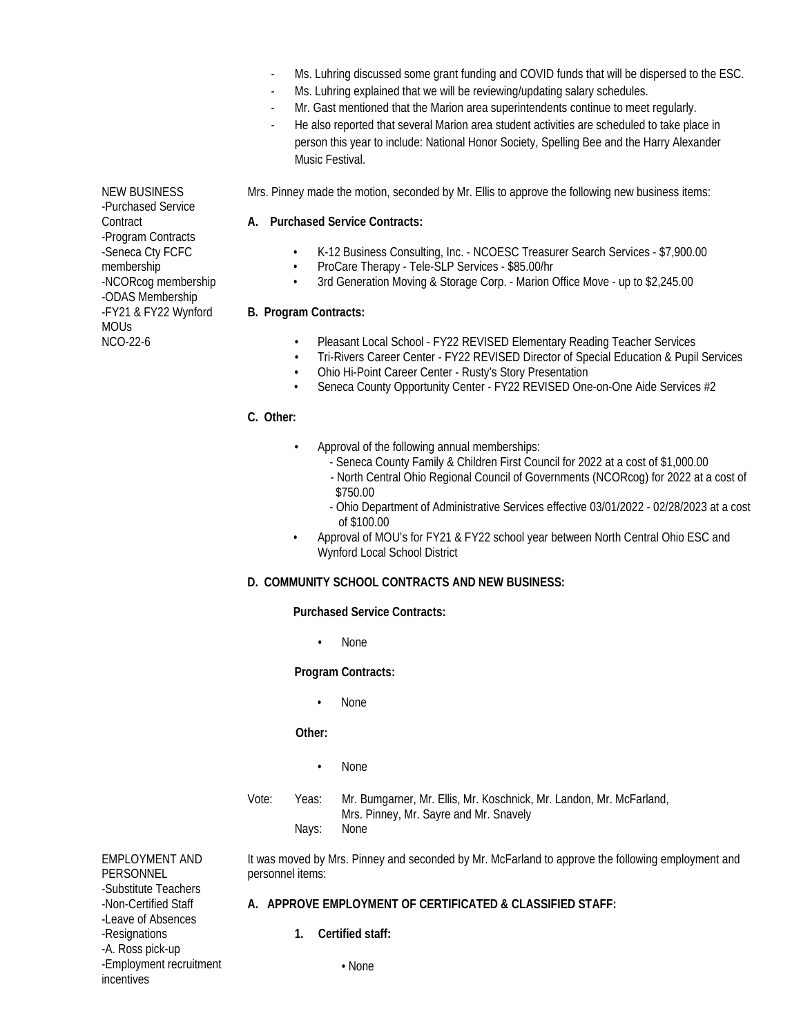- Ms. Luhring discussed some grant funding and COVID funds that will be dispersed to the ESC.
- Ms. Luhring explained that we will be reviewing/updating salary schedules.
- Mr. Gast mentioned that the Marion area superintendents continue to meet regularly.
- He also reported that several Marion area student activities are scheduled to take place in person this year to include: National Honor Society, Spelling Bee and the Harry Alexander Music Festival.

Mrs. Pinney made the motion, seconded by Mr. Ellis to approve the following new business items:

### **A. Purchased Service Contracts:**

- K-12 Business Consulting, Inc. NCOESC Treasurer Search Services \$7,900.00
- ProCare Therapy Tele-SLP Services \$85.00/hr<br>• 3rd Generation Moving & Storage Corp. Marion (
- 3rd Generation Moving & Storage Corp. Marion Office Move up to \$2,245.00

## **B. Program Contracts:**

- Pleasant Local School FY22 REVISED Elementary Reading Teacher Services
- Tri-Rivers Career Center FY22 REVISED Director of Special Education & Pupil Services
- Ohio Hi-Point Career Center Rusty's Story Presentation
- Seneca County Opportunity Center FY22 REVISED One-on-One Aide Services #2

## **C. Other:**

- Approval of the following annual memberships:
	- Seneca County Family & Children First Council for 2022 at a cost of \$1,000.00
	- North Central Ohio Regional Council of Governments (NCORcog) for 2022 at a cost of \$750.00
	- Ohio Department of Administrative Services effective 03/01/2022 02/28/2023 at a cost of \$100.00
	- Approval of MOU's for FY21 & FY22 school year between North Central Ohio ESC and Wynford Local School District

# **D. COMMUNITY SCHOOL CONTRACTS AND NEW BUSINESS:**

**Purchased Service Contracts:**

• None

# **Program Contracts:**

• None

# **Other:**

- None
- Vote: Yeas: Mr. Bumgarner, Mr. Ellis, Mr. Koschnick, Mr. Landon, Mr. McFarland, Mrs. Pinney, Mr. Sayre and Mr. Snavely Nays:

EMPLOYMENT AND PERSONNEL -Substitute Teachers -Non-Certified Staff -Leave of Absences -Resignations -A. Ross pick-up -Employment recruitment incentives

It was moved by Mrs. Pinney and seconded by Mr. McFarland to approve the following employment and personnel items:

# **A. APPROVE EMPLOYMENT OF CERTIFICATED & CLASSIFIED STAFF:**

**1. Certified staff:**

• None

NEW BUSINESS -Purchased Service **Contract** -Program Contracts -Seneca Cty FCFC membership -NCORcog membership -ODAS Membership -FY21 & FY22 Wynford MOUs NCO-22-6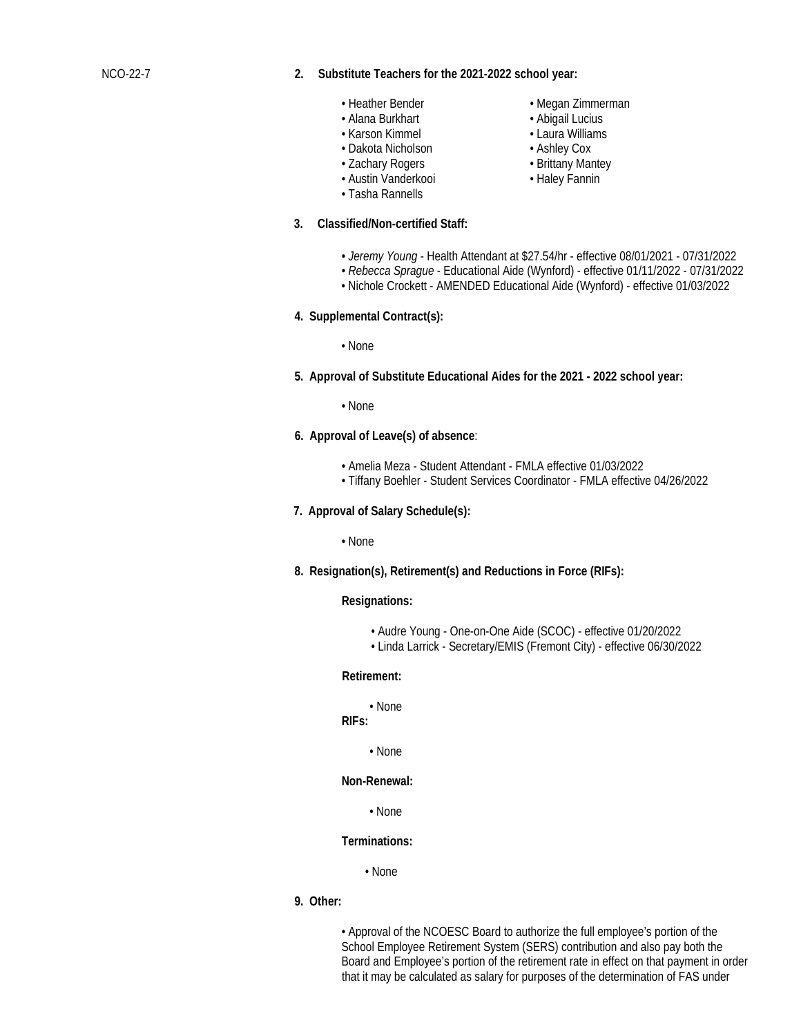#### NCO-22-7 **2. Substitute Teachers for the 2021-2022 school year:**

- 
- 
- Karson Kimmel Laura Williams
- 
- Dakota Nicholson **Ashley Cox**<br>• Zachary Rogers • **Brittany Mantey** • Zachary Rogers
- Austin Vanderkooi • Haley Fannin
- Tasha Rannells
- **3. Classified/Non-certified Staff:**
- Heather Bender Megan Zimmerman
	- Abigail Lucius
	- -
	-
	-
	- *Jeremy Young*  Health Attendant at \$27.54/hr effective 08/01/2021 07/31/2022
	- *Rebecca Sprague* Educational Aide (Wynford) effective 01/11/2022 07/31/2022
	- Nichole Crockett AMENDED Educational Aide (Wynford) effective 01/03/2022
- **4. Supplemental Contract(s):**

• None

**5. Approval of Substitute Educational Aides for the 2021 - 2022 school year:**

• None

- **6. Approval of Leave(s) of absence**:
	- Amelia Meza Student Attendant FMLA effective 01/03/2022
	- Tiffany Boehler Student Services Coordinator FMLA effective 04/26/2022
- **7. Approval of Salary Schedule(s):**

• None

**8. Resignation(s), Retirement(s) and Reductions in Force (RIFs):**

#### **Resignations:**

- Audre Young One-on-One Aide (SCOC) effective 01/20/2022
- Linda Larrick Secretary/EMIS (Fremont City) effective 06/30/2022

#### **Retirement:**

• None

# **RIFs:**

• None

**Non-Renewal:**

• None

## **Terminations:**

• None

**9. Other:**

• Approval of the NCOESC Board to authorize the full employee's portion of the School Employee Retirement System (SERS) contribution and also pay both the Board and Employee's portion of the retirement rate in effect on that payment in order that it may be calculated as salary for purposes of the determination of FAS under